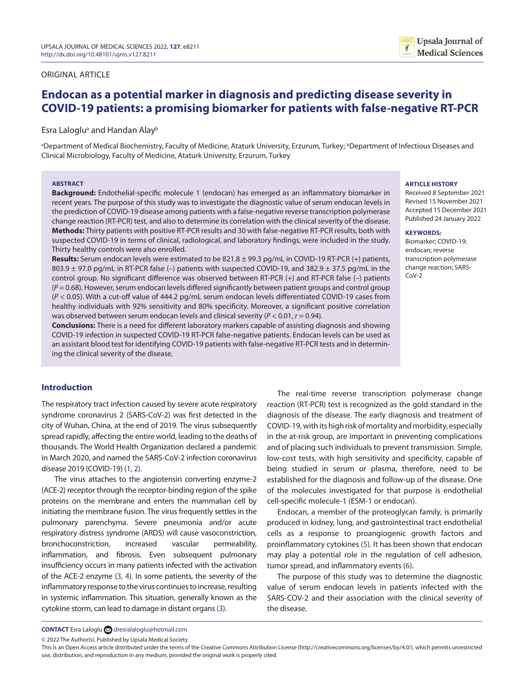# ORIGINAL ARTICLE

# **Endocan as a potential marker in diagnosis and predicting disease severity in COVID-19 patients: a promising biomarker for patients with false-negative RT-PCR**

Esra Lalogluª and Handan Alay<sup>b</sup>

<sup>a</sup>Department of Medical Biochemistry, Faculty of Medicine, Ataturk University, Erzurum, Turkey; <sup>b</sup>Department of Infectious Diseases and Clinical Microbiology, Faculty of Medicine, Ataturk University, Erzurum, Turkey

#### **ABSTRACT**

**Background:** Endothelial-specific molecule 1 (endocan) has emerged as an inflammatory biomarker in recent years. The purpose of this study was to investigate the diagnostic value of serum endocan levels in the prediction of COVID-19 disease among patients with a false-negative reverse transcription polymerase change reaction (RT-PCR) test, and also to determine its correlation with the clinical severity of the disease. **Methods:** Thirty patients with positive RT-PCR results and 30 with false-negative RT-PCR results, both with suspected COVID-19 in terms of clinical, radiological, and laboratory findings, were included in the study. Thirty healthy controls were also enrolled.

**Results:** Serum endocan levels were estimated to be 821.8 ± 99.3 pg/mL in COVID-19 RT-PCR (+) patients, 803.9 ± 97.0 pg/mL in RT-PCR false (–) patients with suspected COVID-19, and 382.9 ± 37.5 pg/mL in the control group. No significant difference was observed between RT-PCR (+) and RT-PCR false (–) patients  $(P = 0.68)$ . However, serum endocan levels differed significantly between patient groups and control group (*P* < 0.05). With a cut-off value of 444.2 pg/mL serum endocan levels differentiated COVID-19 cases from healthy individuals with 92% sensitivity and 80% specificity. Moreover, a significant positive correlation was observed between serum endocan levels and clinical severity (*P* < 0.01, *r* = 0.94).

**Conclusions:** There is a need for different laboratory markers capable of assisting diagnosis and showing COVID-19 infection in suspected COVID-19 RT-PCR false-negative patients. Endocan levels can be used as an assistant blood test for identifying COVID-19 patients with false-negative RT-PCR tests and in determining the clinical severity of the disease.

# **Introduction**

The respiratory tract infection caused by severe acute respiratory syndrome coronavirus 2 (SARS-CoV-2) was first detected in the city of Wuhan, China, at the end of 2019. The virus subsequently spread rapidly, affecting the entire world, leading to the deaths of thousands. The World Health Organization declared a pandemic in March 2020, and named the SARS-CoV-2 infection coronavirus disease 2019 (COVID-19) [\(1](#page-5-0), [2\)](#page-5-1).

<span id="page-0-0"></span> The virus attaches to the angiotensin converting enzyme-2 (ACE-2) receptor through the receptor-binding region of the spike proteins on the membrane and enters the mammalian cell by initiating the membrane fusion. The virus frequently settles in the pulmonary parenchyma. Severe pneumonia and/or acute respiratory distress syndrome (ARDS) will cause vasoconstriction, bronchoconstriction, increased vascular permeability, inflammation, and fibrosis. Even subsequent pulmonary insufficiency occurs in many patients infected with the activation of the ACE-2 enzyme [\(3,](#page-5-2) [4](#page-5-3)). In some patients, the severity of the inflammatory response to the virus continues to increase, resulting in systemic inflammation. This situation, generally known as the cytokine storm, can lead to damage in distant organs (3).

The real-time reverse transcription polymerase change reaction (RT-PCR) test is recognized as the gold standard in the diagnosis of the disease. The early diagnosis and treatment of COVID-19, with its high risk of mortality and morbidity, especially in the at-risk group, are important in preventing complications and of placing such individuals to prevent transmission. Simple, low-cost tests, with high sensitivity and specificity, capable of being studied in serum or plasma, therefore, need to be established for the diagnosis and follow-up of the disease. One of the molecules investigated for that purpose is endothelial cell-specific molecule-1 (ESM-1 or endocan).

<span id="page-0-4"></span><span id="page-0-1"></span>Endocan, a member of the proteoglycan family, is primarily produced in kidney, lung, and gastrointestinal tract endothelial cells as a response to proangiogenic growth factors and proinflammatory cytokines ([5](#page-5-4)). It has been shown that endocan may play a potential role in the regulation of cell adhesion, tumor spread, and inflammatory events ([6\)](#page-5-5).

<span id="page-0-5"></span><span id="page-0-3"></span>The purpose of this study was to determine the diagnostic value of serum endocan levels in patients infected with the SARS-COV-2 and their association with the clinical severity of the disease.

# **ARTICLE HISTORY**

Received 8 September 2021 Revised 15 November 2021 Accepted 15 December 2021 Published 24 January 2022

#### **KEYWORDS:**

Biomarker; COVID-19; endocan; reverse transcription polymerase change reaction; SARS- $C_0V-2$ 

<span id="page-0-2"></span>**CONTACT** Esra Laloglu and [dresralaloglu@hotmail.com](mailto:dresralaloglu@hotmail.com)

<sup>© 2022</sup> The Author(s). Published by Upsala Medical Society.

This is an Open Access article distributed under the terms of the Creative Commons Attribution License (<http://creativecommons.org/licenses/by/4.0/>), which permits unrestricted use, distribution, and reproduction in any medium, provided the original work is properly cited.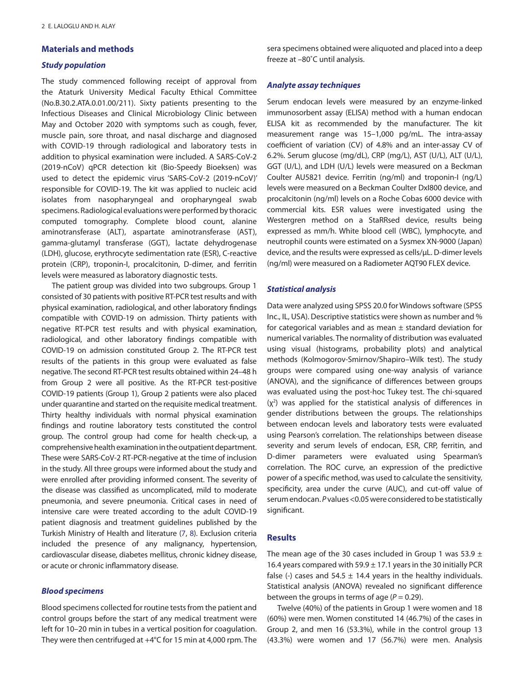# **Materials and methods**

### *Study population*

The study commenced following receipt of approval from the Ataturk University Medical Faculty Ethical Committee (No.B.30.2.ATA.0.01.00/211). Sixty patients presenting to the Infectious Diseases and Clinical Microbiology Clinic between May and October 2020 with symptoms such as cough, fever, muscle pain, sore throat, and nasal discharge and diagnosed with COVID-19 through radiological and laboratory tests in addition to physical examination were included. A SARS-CoV-2 (2019-nCoV) qPCR detection kit (Bio-Speedy Bioeksen) was used to detect the epidemic virus 'SARS-CoV-2 (2019-nCoV)' responsible for COVID-19. The kit was applied to nucleic acid isolates from nasopharyngeal and oropharyngeal swab specimens. Radiological evaluations were performed by thoracic computed tomography. Complete blood count, alanine aminotransferase (ALT), aspartate aminotransferase (AST), gamma-glutamyl transferase (GGT), lactate dehydrogenase (LDH), glucose, erythrocyte sedimentation rate (ESR), C-reactive protein (CRP), troponin-I, procalcitonin, D-dimer, and ferritin levels were measured as laboratory diagnostic tests.

The patient group was divided into two subgroups. Group 1 consisted of 30 patients with positive RT-PCR test results and with physical examination, radiological, and other laboratory findings compatible with COVID-19 on admission. Thirty patients with negative RT-PCR test results and with physical examination, radiological, and other laboratory findings compatible with COVID-19 on admission constituted Group 2. The RT-PCR test results of the patients in this group were evaluated as false negative. The second RT-PCR test results obtained within 24–48 h from Group 2 were all positive. As the RT-PCR test-positive COVID-19 patients (Group 1), Group 2 patients were also placed under quarantine and started on the requisite medical treatment. Thirty healthy individuals with normal physical examination findings and routine laboratory tests constituted the control group. The control group had come for health check-up, a comprehensive health examination in the outpatient department. These were SARS‐CoV‐2 RT‐PCR‐negative at the time of inclusion in the study. All three groups were informed about the study and were enrolled after providing informed consent. The severity of the disease was classified as uncomplicated, mild to moderate pneumonia, and severe pneumonia. Critical cases in need of intensive care were treated according to the adult COVID-19 patient diagnosis and treatment guidelines published by the Turkish Ministry of Health and literature [\(7,](#page-5-6) [8](#page-5-7)). Exclusion criteria included the presence of any malignancy, hypertension, cardiovascular disease, diabetes mellitus, chronic kidney disease, or acute or chronic inflammatory disease.

# <span id="page-1-0"></span>*Blood specimens*

Blood specimens collected for routine tests from the patient and control groups before the start of any medical treatment were left for 10–20 min in tubes in a vertical position for coagulation. They were then centrifuged at +4°C for 15 min at 4,000 rpm. The sera specimens obtained were aliquoted and placed into a deep freeze at –80˚C until analysis.

# *Analyte assay techniques*

Serum endocan levels were measured by an enzyme-linked immunosorbent assay (ELISA) method with a human endocan ELISA kit as recommended by the manufacturer. The kit measurement range was 15–1,000 pg/mL. The intra-assay coefficient of variation (CV) of 4.8% and an inter-assay CV of 6.2%. Serum glucose (mg/dL), CRP (mg/L), AST (U/L), ALT (U/L), GGT (U/L), and LDH (U/L) levels were measured on a Beckman Coulter AU5821 device. Ferritin (ng/ml) and troponin-I (ng/L) levels were measured on a Beckman Coulter DxI800 device, and procalcitonin (ng/ml) levels on a Roche Cobas 6000 device with commercial kits. ESR values were investigated using the Westergren method on a StaRRsed device, results being expressed as mm/h. White blood cell (WBC), lymphocyte, and neutrophil counts were estimated on a Sysmex XN-9000 (Japan) device, and the results were expressed as cells/µL. D-dimer levels (ng/ml) were measured on a Radiometer AQT90 FLEX device.

# *Statistical analysis*

Data were analyzed using SPSS 20.0 for Windows software (SPSS Inc., IL, USA). Descriptive statistics were shown as number and % for categorical variables and as mean  $\pm$  standard deviation for numerical variables. The normality of distribution was evaluated using visual (histograms, probability plots) and analytical methods (Kolmogorov-Smirnov/Shapiro–Wilk test). The study groups were compared using one-way analysis of variance (ANOVA), and the significance of differences between groups was evaluated using the post-hoc Tukey test. The chi-squared  $(x<sup>2</sup>)$  was applied for the statistical analysis of differences in gender distributions between the groups. The relationships between endocan levels and laboratory tests were evaluated using Pearson's correlation. The relationships between disease severity and serum levels of endocan, ESR, CRP, ferritin, and D-dimer parameters were evaluated using Spearman's correlation. The ROC curve, an expression of the predictive power of a specific method, was used to calculate the sensitivity, specificity, area under the curve (AUC), and cut-off value of serum endocan. *P* values <0.05 were considered to be statistically significant.

# <span id="page-1-1"></span>**Results**

The mean age of the 30 cases included in Group 1 was 53.9  $\pm$ 16.4 years compared with  $59.9 \pm 17.1$  years in the 30 initially PCR false (-) cases and 54.5  $\pm$  14.4 years in the healthy individuals. Statistical analysis (ANOVA) revealed no significant difference between the groups in terms of age  $(P = 0.29)$ .

Twelve (40%) of the patients in Group 1 were women and 18 (60%) were men. Women constituted 14 (46.7%) of the cases in Group 2, and men 16 (53.3%), while in the control group 13 (43.3%) were women and 17 (56.7%) were men. Analysis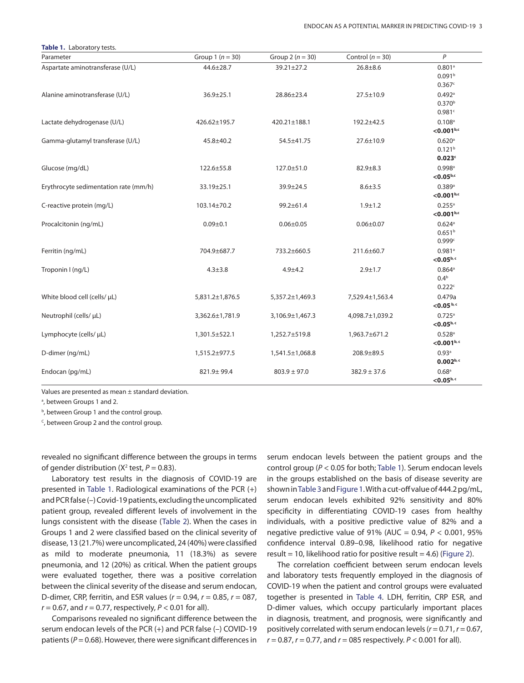<span id="page-2-0"></span>

| Table 1. Laboratory tests.            |                      |                      |                      |                                                      |  |  |  |
|---------------------------------------|----------------------|----------------------|----------------------|------------------------------------------------------|--|--|--|
| Parameter                             | Group 1 ( $n = 30$ ) | Group 2 ( $n = 30$ ) | Control ( $n = 30$ ) | P                                                    |  |  |  |
| Aspartate aminotransferase (U/L)      | $44.6 \pm 28.7$      | $39.21 \pm 27.2$     | $26.8 \pm 8.6$       | 0.801a<br>0.091 <sup>b</sup><br>0.367c               |  |  |  |
| Alanine aminotransferase (U/L)        | $36.9 \pm 25.1$      | 28.86±23.4           | $27.5 \pm 10.9$      | $0.492$ <sup>a</sup><br>0.370 <sup>b</sup><br>0.981c |  |  |  |
| Lactate dehydrogenase (U/L)           | 426.62±195.7         | 420.21±188.1         | 192.2±42.5           | $0.108$ <sup>a</sup><br>$<$ 0.001b,c                 |  |  |  |
| Gamma-glutamyl transferase (U/L)      | $45.8 + 40.2$        | 54.5±41.75           | $27.6 \pm 10.9$      | 0.620a<br>0.121 <sup>b</sup><br>0.023c               |  |  |  |
| Glucose (mg/dL)                       | 122.6±55.8           | 127.0±51.0           | $82.9 \pm 8.3$       | $0.998$ <sup>a</sup><br>$< 0.05^{b,c}$               |  |  |  |
| Erythrocyte sedimentation rate (mm/h) | 33.19±25.1           | 39.9±24.5            | $8.6 + 3.5$          | 0.389a<br>< 0.001 <sup>b,c</sup>                     |  |  |  |
| C-reactive protein (mg/L)             | 103.14±70.2          | 99.2±61.4            | $1.9 + 1.2$          | $0.255$ <sup>a</sup><br>$<$ 0.001b,c                 |  |  |  |
| Procalcitonin (ng/mL)                 | $0.09 + 0.1$         | $0.06 \pm 0.05$      | $0.06 \pm 0.07$      | 0.624a<br>0.651 <sup>b</sup><br>0.999c               |  |  |  |
| Ferritin (ng/mL)                      | 704.9±687.7          | 733.2±660.5          | 211.6±60.7           | $0.981$ <sup>a</sup><br>$< 0.05^{\rm b,c}$           |  |  |  |
| Troponin I (ng/L)                     | $4.3 \pm 3.8$        | $4.9 + 4.2$          | $2.9 + 1.7$          | 0.864a<br>0.4 <sup>b</sup><br>0.222c                 |  |  |  |
| White blood cell (cells/ µL)          | 5,831.2±1,876.5      | 5,357.2±1,469.3      | 7,529.4±1,563.4      | 0.479a<br>$<$ 0.05 b, c                              |  |  |  |
| Neutrophil (cells/ µL)                | 3,362.6±1,781.9      | 3,106.9±1,467.3      | 4,098.7±1,039.2      | $0.725$ <sup>a</sup><br>$<$ 0.05 <sup>b, c</sup>     |  |  |  |
| Lymphocyte (cells/ µL)                | 1,301.5±522.1        | 1,252.7±519.8        | 1,963.7±671.2        | 0.528a<br>< 0.001 <sup>b, c</sup>                    |  |  |  |
| D-dimer (ng/mL)                       | 1,515.2±977.5        | 1,541.5±1,068.8      | 208.9±89.5           | 0.93a<br>$0.002^{b,c}$                               |  |  |  |
| Endocan (pg/mL)                       | 821.9±99.4           | $803.9 \pm 97.0$     | $382.9 \pm 37.6$     | $0.68$ <sup>a</sup><br>$< 0.05^{\rm b,c}$            |  |  |  |

Values are presented as mean ± standard deviation.

<sup>a</sup>, between Groups 1 and 2.

**b**, between Group 1 and the control group.

 $C$ , between Group 2 and the control group.

revealed no significant difference between the groups in terms of gender distribution ( $X^2$  test,  $P = 0.83$ ).

<span id="page-2-1"></span>Laboratory test results in the diagnosis of COVID-19 are presented in [Table 1](#page-2-0). Radiological examinations of the PCR (+) and PCR false (–) Covid-19 patients, excluding the uncomplicated patient group, revealed different levels of involvement in the lungs consistent with the disease ([Table 2\)](#page-3-0). When the cases in Groups 1 and 2 were classified based on the clinical severity of disease, 13 (21.7%) were uncomplicated, 24 (40%) were classified as mild to moderate pneumonia, 11 (18.3%) as severe pneumonia, and 12 (20%) as critical. When the patient groups were evaluated together, there was a positive correlation between the clinical severity of the disease and serum endocan, D-dimer, CRP, ferritin, and ESR values (*r* = 0.94, *r* = 0.85, *r* = 087,  $r = 0.67$ , and  $r = 0.77$ , respectively,  $P < 0.01$  for all).

Comparisons revealed no significant difference between the serum endocan levels of the PCR (+) and PCR false (–) COVID-19 patients (*P* = 0.68). However, there were significant differences in <span id="page-2-4"></span><span id="page-2-3"></span>serum endocan levels between the patient groups and the control group (*P* < 0.05 for both; Table 1). Serum endocan levels in the groups established on the basis of disease severity are shown in [Table 3](#page-3-1) and [Figure 1](#page-3-2). With a cut-off value of 444.2 pg/mL, serum endocan levels exhibited 92% sensitivity and 80% specificity in differentiating COVID-19 cases from healthy individuals, with a positive predictive value of 82% and a negative predictive value of 91% (AUC = 0.94, *P* < 0.001, 95% confidence interval 0.89–0.98, likelihood ratio for negative result = 10, likelihood ratio for positive result = 4.6) ([Figure 2\)](#page-3-3).

<span id="page-2-6"></span><span id="page-2-5"></span><span id="page-2-2"></span>The correlation coefficient between serum endocan levels and laboratory tests frequently employed in the diagnosis of COVID-19 when the patient and control groups were evaluated together is presented in [Table 4](#page-4-0). LDH, ferritin, CRP ESR, and D-dimer values, which occupy particularly important places in diagnosis, treatment, and prognosis, were significantly and positively correlated with serum endocan levels (*r* = 0.71, *r* = 0.67, *r* = 0.87, *r* = 0.77, and *r* = 085 respectively. *P* < 0.001 for all).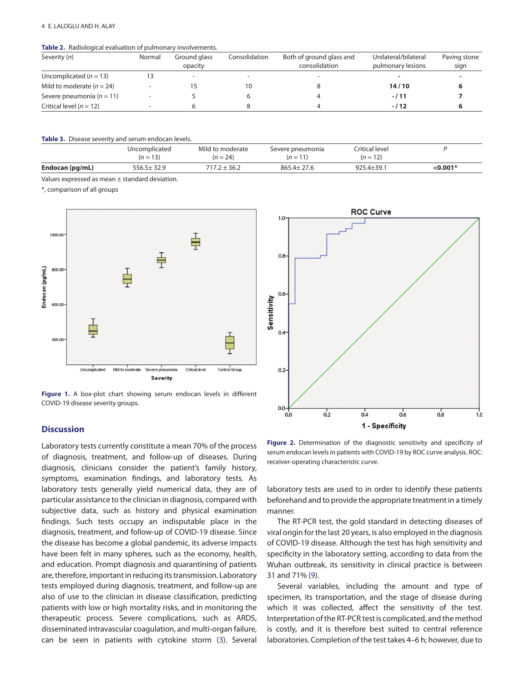#### 4 E. LALOGLU AND H. ALAY

### <span id="page-3-0"></span>**Table 2.** [Radiological evaluation of pulmonary involvements.](#page-2-2)

| Severity (n)                  | Normal                       | Ground glass<br>opacity | Consolidation            | Both of ground glass and<br>consolidation | Unilateral/bilateral<br>pulmonary lesions | Paving stone<br>sign |
|-------------------------------|------------------------------|-------------------------|--------------------------|-------------------------------------------|-------------------------------------------|----------------------|
| Uncomplicated $(n = 13)$      |                              |                         | $\overline{\phantom{0}}$ |                                           |                                           |                      |
| Mild to moderate $(n = 24)$   | $\qquad \qquad \blacksquare$ |                         | 10                       |                                           | 14/10                                     |                      |
| Severe pneumonia ( $n = 11$ ) |                              |                         |                          |                                           | $-111$                                    |                      |
| Critical level ( $n = 12$ )   |                              |                         |                          |                                           | $-112$                                    |                      |

<span id="page-3-1"></span>**Table 3.** [Disease severity and serum endocan levels.](#page-2-3)

|                 | Uncomplicated<br>$(n = 13)$ | Mild to moderate<br>$(n = 24)$ | Severe pneumonia<br>$(n = 11)$ | Critical level<br>$(n = 12)$ |         |
|-----------------|-----------------------------|--------------------------------|--------------------------------|------------------------------|---------|
| Endocan (pg/mL) | $556.5 \pm 32.9$            | 717.2 ± 36.2                   | $865.4 \pm 27.6$               | $925.4 + 39.1$               | <0.001* |

Values expressed as mean ± standard deviation.

\*, comparison of all groups



<span id="page-3-2"></span>Figure 1. A box-plot chart showing serum endocan levels in different [COVID-19 disease severity groups.](#page-2-4)

# **Discussion**

Laboratory tests currently constitute a mean 70% of the process of diagnosis, treatment, and follow-up of diseases. During diagnosis, clinicians consider the patient's family history, symptoms, examination findings, and laboratory tests. As laboratory tests generally yield numerical data, they are of particular assistance to the clinician in diagnosis, compared with subjective data, such as history and physical examination findings. Such tests occupy an indisputable place in the diagnosis, treatment, and follow-up of COVID-19 disease. Since the disease has become a global pandemic, its adverse impacts have been felt in many spheres, such as the economy, health, and education. Prompt diagnosis and quarantining of patients are, therefore, important in reducing its transmission. Laboratory tests employed during diagnosis, treatment, and follow-up are also of use to the clinician in disease classification, predicting patients with low or high mortality risks, and in monitoring the therapeutic process. Severe complications, such as ARDS, disseminated intravascular coagulation, and multi-organ failure, can be seen in patients with cytokine storm (3). Several



<span id="page-3-3"></span>Figure 2. [Determination of the diagnostic sensitivity and specificity of](#page-2-5) [serum endocan levels in patients with COVID-19 by ROC curve analysis. ROC:](#page-2-5) [receiver-operating characteristic curve.](#page-2-5)

laboratory tests are used to in order to identify these patients beforehand and to provide the appropriate treatment in a timely manner.

The RT-PCR test, the gold standard in detecting diseases of viral origin for the last 20 years, is also employed in the diagnosis of COVID-19 disease. Although the test has high sensitivity and specificity in the laboratory setting, according to data from the Wuhan outbreak, its sensitivity in clinical practice is between 31 and 71% ([9\)](#page-5-8).

<span id="page-3-4"></span>Several variables, including the amount and type of specimen, its transportation, and the stage of disease during which it was collected, affect the sensitivity of the test. Interpretation of the RT-PCR test is complicated, and the method is costly, and it is therefore best suited to central reference laboratories. Completion of the test takes 4–6 h; however, due to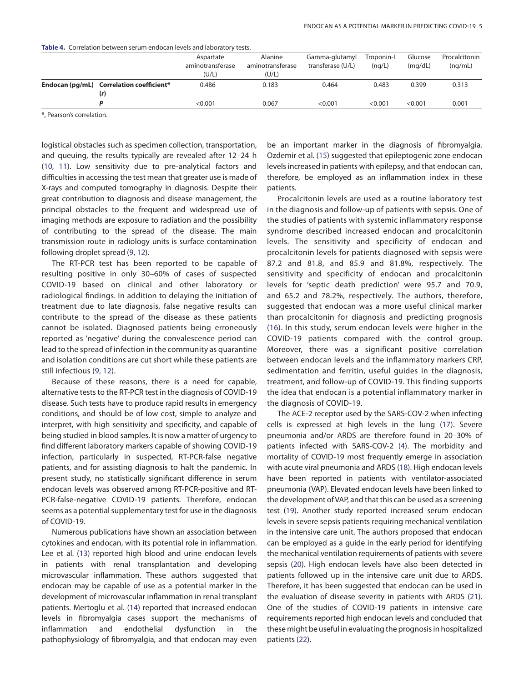<span id="page-4-0"></span>**Table 4.** [Correlation between serum endocan levels and laboratory tests.](#page-2-6)

|                                                 | Aspartate<br>aminotransferase<br>(U/L) | Alanine<br>aminotransferase<br>(U/L) | Gamma-glutamyl<br>transferase (U/L) | Troponin-I<br>(nq/L) | Glucose<br>(mq/dL) | Procalcitonin<br>(nq/mL) |
|-------------------------------------------------|----------------------------------------|--------------------------------------|-------------------------------------|----------------------|--------------------|--------------------------|
| Endocan (pg/mL) Correlation coefficient*<br>(r) | 0.486                                  | 0.183                                | 0.464                               | 0.483                | 0.399              | 0.313                    |
| D                                               | < 0.001                                | 0.067                                | < 0.001                             | < 0.001              | < 0.001            | 0.001                    |

\*, Pearson's correlation.

<span id="page-4-2"></span><span id="page-4-1"></span>logistical obstacles such as specimen collection, transportation, and queuing, the results typically are revealed after 12–24 h [\(10,](#page-5-9) [11](#page-5-10)). Low sensitivity due to pre-analytical factors and difficulties in accessing the test mean that greater use is made of X-rays and computed tomography in diagnosis. Despite their great contribution to diagnosis and disease management, the principal obstacles to the frequent and widespread use of imaging methods are exposure to radiation and the possibility of contributing to the spread of the disease. The main transmission route in radiology units is surface contamination following droplet spread (9, [12](#page-6-0)).

The RT-PCR test has been reported to be capable of resulting positive in only 30–60% of cases of suspected COVID-19 based on clinical and other laboratory or radiological findings. In addition to delaying the initiation of treatment due to late diagnosis, false negative results can contribute to the spread of the disease as these patients cannot be isolated. Diagnosed patients being erroneously reported as 'negative' during the convalescence period can lead to the spread of infection in the community as quarantine and isolation conditions are cut short while these patients are still infectious (9, 12).

Because of these reasons, there is a need for capable, alternative tests to the RT-PCR test in the diagnosis of COVID-19 disease. Such tests have to produce rapid results in emergency conditions, and should be of low cost, simple to analyze and interpret, with high sensitivity and specificity, and capable of being studied in blood samples. It is now a matter of urgency to find different laboratory markers capable of showing COVID-19 infection, particularly in suspected, RT-PCR-false negative patients, and for assisting diagnosis to halt the pandemic. In present study, no statistically significant difference in serum endocan levels was observed among RT-PCR-positive and RT-PCR-false-negative COVID-19 patients. Therefore, endocan seems as a potential supplementary test for use in the diagnosis of COVID-19.

<span id="page-4-5"></span><span id="page-4-4"></span>Numerous publications have shown an association between cytokines and endocan, with its potential role in inflammation. Lee et al. [\(13\)](#page-6-1) reported high blood and urine endocan levels in patients with renal transplantation and developing microvascular inflammation. These authors suggested that endocan may be capable of use as a potential marker in the development of microvascular inflammation in renal transplant patients. Mertoglu et al. ([14](#page-6-2)) reported that increased endocan levels in fibromyalgia cases support the mechanisms of inflammation and endothelial dysfunction in the pathophysiology of fibromyalgia, and that endocan may even <span id="page-4-6"></span>be an important marker in the diagnosis of fibromyalgia. Ozdemir et al. ([15\)](#page-6-3) suggested that epileptogenic zone endocan levels increased in patients with epilepsy, and that endocan can, therefore, be employed as an inflammation index in these patients.

<span id="page-4-3"></span>Procalcitonin levels are used as a routine laboratory test in the diagnosis and follow-up of patients with sepsis. One of the studies of patients with systemic inflammatory response syndrome described increased endocan and procalcitonin levels. The sensitivity and specificity of endocan and procalcitonin levels for patients diagnosed with sepsis were 87.2 and 81.8, and 85.9 and 81.8%, respectively. The sensitivity and specificity of endocan and procalcitonin levels for 'septic death prediction' were 95.7 and 70.9, and 65.2 and 78.2%, respectively. The authors, therefore, suggested that endocan was a more useful clinical marker than procalcitonin for diagnosis and predicting prognosis ([16\)](#page-6-4). In this study, serum endocan levels were higher in the COVID-19 patients compared with the control group. Moreover, there was a significant positive correlation between endocan levels and the inflammatory markers CRP, sedimentation and ferritin, useful guides in the diagnosis, treatment, and follow-up of COVID-19. This finding supports the idea that endocan is a potential inflammatory marker in the diagnosis of COVID-19.

<span id="page-4-13"></span><span id="page-4-12"></span><span id="page-4-11"></span><span id="page-4-10"></span><span id="page-4-9"></span><span id="page-4-8"></span><span id="page-4-7"></span>The ACE-2 receptor used by the SARS-COV-2 when infecting cells is expressed at high levels in the lung [\(17](#page-6-5)). Severe pneumonia and/or ARDS are therefore found in 20–30% of patients infected with SARS-COV-2 (4). The morbidity and mortality of COVID-19 most frequently emerge in association with acute viral pneumonia and ARDS ([18](#page-6-6)). High endocan levels have been reported in patients with ventilator-associated pneumonia (VAP). Elevated endocan levels have been linked to the development of VAP, and that this can be used as a screening test ([19](#page-6-7)). Another study reported increased serum endocan levels in severe sepsis patients requiring mechanical ventilation in the intensive care unit. The authors proposed that endocan can be employed as a guide in the early period for identifying the mechanical ventilation requirements of patients with severe sepsis [\(20\)](#page-6-8). High endocan levels have also been detected in patients followed up in the intensive care unit due to ARDS. Therefore, it has been suggested that endocan can be used in the evaluation of disease severity in patients with ARDS ([21](#page-6-9)). One of the studies of COVID-19 patients in intensive care requirements reported high endocan levels and concluded that these might be useful in evaluating the prognosis in hospitalized patients ([22](#page-6-10)).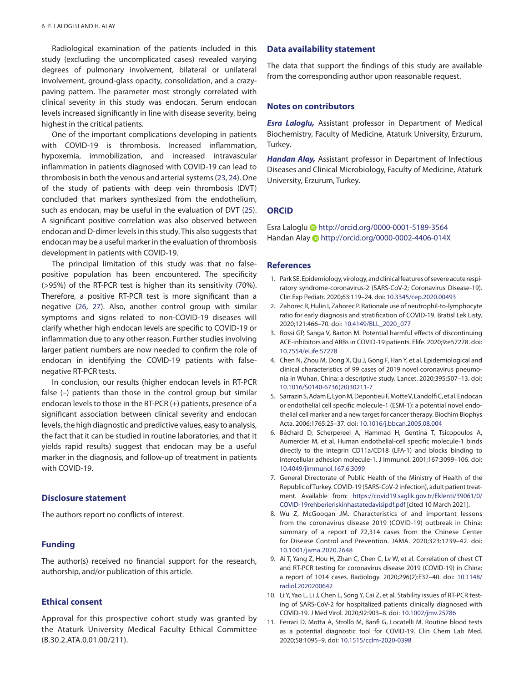Radiological examination of the patients included in this study (excluding the uncomplicated cases) revealed varying degrees of pulmonary involvement, bilateral or unilateral involvement, ground-glass opacity, consolidation, and a crazypaving pattern. The parameter most strongly correlated with clinical severity in this study was endocan. Serum endocan levels increased significantly in line with disease severity, being highest in the critical patients.

<span id="page-5-11"></span>One of the important complications developing in patients with COVID-19 is thrombosis. Increased inflammation, hypoxemia, immobilization, and increased intravascular inflammation in patients diagnosed with COVID-19 can lead to thrombosis in both the venous and arterial systems ([23](#page-6-11), [24\)](#page-6-12). One of the study of patients with deep vein thrombosis (DVT) concluded that markers synthesized from the endothelium, such as endocan, may be useful in the evaluation of DVT [\(25](#page-6-13)). A significant positive correlation was also observed between endocan and D-dimer levels in this study. This also suggests that endocan may be a useful marker in the evaluation of thrombosis development in patients with COVID-19.

<span id="page-5-15"></span><span id="page-5-14"></span><span id="page-5-13"></span>The principal limitation of this study was that no falsepositive population has been encountered. The specificity (>95%) of the RT-PCR test is higher than its sensitivity (70%). Therefore, a positive RT-PCR test is more significant than a negative ([26](#page-6-14), [2](#page-6-15)7). Also, another control group with similar symptoms and signs related to non-COVID-19 diseases will clarify whether high endocan levels are specific to COVID-19 or inflammation due to any other reason. Further studies involving larger patient numbers are now needed to confirm the role of endocan in identifying the COVID-19 patients with falsenegative RT-PCR tests.

In conclusion, our results (higher endocan levels in RT-PCR false (–) patients than those in the control group but similar endocan levels to those in the RT-PCR (+) patients, presence of a significant association between clinical severity and endocan levels, the high diagnostic and predictive values, easy to analysis, the fact that it can be studied in routine laboratories, and that it yields rapid results) suggest that endocan may be a useful marker in the diagnosis, and follow-up of treatment in patients with COVID-19.

# **Disclosure statement**

The authors report no conflicts of interest.

# **Funding**

The author(s) received no financial support for the research, authorship, and/or publication of this article.

# **Ethical consent**

Approval for this prospective cohort study was granted by the Ataturk University Medical Faculty Ethical Committee (B.30.2.ATA.0.01.00/211).

# **Data availability statement**

The data that support the findings of this study are available from the corresponding author upon reasonable request.

### **Notes on contributors**

*Esra Laloglu,* Assistant professor in Department of Medical Biochemistry, Faculty of Medicine, Ataturk University, Erzurum, Turkey.

<span id="page-5-12"></span>*Handan Alay,* Assistant professor in Department of Infectious Diseases and Clinical Microbiology, Faculty of Medicine, Ataturk University, Erzurum, Turkey.

# **ORCID**

Esra Lalogl[u http://orcid.org/0000-0001-5189-3564](http://orcid.org/0000-0001-5189-3564) Handan Alay **b**<http://orcid.org/0000-0002-4406-014X>

### **References**

- <span id="page-5-0"></span>[1.](#page-0-0) Park SE. Epidemiology, virology, and clinical features of severe acute respiratory syndrome-coronavirus-2 (SARS-CoV-2; Coronavirus Disease-19). Clin Exp Pediatr. 2020;63:119–24. doi: [10.3345/cep.2020.00493](http://dx.doi.org/10.3345/cep.2020.00493)
- <span id="page-5-1"></span>[2.](#page-0-1) Zahorec R, Hulin I, Zahorec P. Rationale use of neutrophil-to-lymphocyte ratio for early diagnosis and stratification of COVID-19. Bratisl Lek Listy. 2020;121:466–70. doi: [10.4149/BLL\\_2020\\_077](http://dx.doi.org/10.4149/BLL_2020_077)
- <span id="page-5-2"></span>[3.](#page-0-2) Rossi GP, Sanga V, Barton M. Potential harmful effects of discontinuing ACE-inhibitors and ARBs in COVID-19 patients. Elife. 2020;9:e57278. doi: [10.7554/eLife.57278](http://dx.doi.org/10.7554/eLife.57278)
- <span id="page-5-3"></span>[4.](#page-0-3) Chen N, Zhou M, Dong X, Qu J, Gong F, Han Y, et al. Epidemiological and clinical characteristics of 99 cases of 2019 novel coronavirus pneumonia in Wuhan, China: a descriptive study. Lancet. 2020;395:507–13. doi: [10.1016/S0140-6736\(20\)30211-7](http://dx.doi.org/10.1016/S0140-6736(20)30211-7)
- <span id="page-5-4"></span>[5.](#page-0-4) Sarrazin S, Adam E, Lyon M, Depontieu F, Motte V, Landolfi C, et al. Endocan or endothelial cell specific molecule-1 (ESM-1): a potential novel endothelial cell marker and a new target for cancer therapy. Biochim Biophys Acta. 2006;1765:25–37. doi: [10.1016/j.bbcan.2005.08.004](http://dx.doi.org/10.1016/j.bbcan.2005.08.004)
- <span id="page-5-5"></span>[6.](#page-0-5) Béchard D, Scherpereel A, Hammad H, Gentina T, Tsicopoulos A, Aumercier M, et al. Human endothelial-cell specific molecule-1 binds directly to the integrin CD11a/CD18 (LFA-1) and blocks binding to intercellular adhesion molecule-1. J Immunol. 2001;167:3099–106. doi: [10.4049/jimmunol.167.6.3099](http://dx.doi.org/10.4049/jimmunol.167.6.3099)
- <span id="page-5-6"></span>[7.](#page-1-0) General Directorate of Public Health of the Ministry of Health of the Republic of Turkey. COVID-19 (SARS-CoV-2 infection), adult patient treatment. Available from: [https://covid19.saglik.gov.tr/Eklenti/39061/0/](https://covid19.saglik.gov.tr/Eklenti/39061/0/COVID-19rehberieriskinhastatedavisipdf.pdf) [COVID-19rehberieriskinhastatedavisipdf.pdf](https://covid19.saglik.gov.tr/Eklenti/39061/0/COVID-19rehberieriskinhastatedavisipdf.pdf) [cited 10 March 2021].
- <span id="page-5-7"></span>[8.](#page-1-1) Wu Z, McGoogan JM. Characteristics of and important lessons from the coronavirus disease 2019 (COVID-19) outbreak in China: summary of a report of 72,314 cases from the Chinese Center for Disease Control and Prevention. JAMA. 2020;323:1239–42. doi: [10.1001/jama.2020.2648](http://dx.doi.org/10.1001/jama.2020.2648)
- <span id="page-5-8"></span>[9.](#page-3-4) Ai T, Yang Z, Hou H, Zhan C, Chen C, Lv W, et al. Correlation of chest CT and RT-PCR testing for coronavirus disease 2019 (COVID-19) in China: a report of 1014 cases. Radiology. 2020;296(2):E32–40. doi: [10.1148/](http://dx.doi.org/10.1148/radiol.2020200642) [radiol.2020200642](http://dx.doi.org/10.1148/radiol.2020200642)
- <span id="page-5-9"></span>[10.](#page-4-1) Li Y, Yao L, Li J, Chen L, Song Y, Cai Z, et al. Stability issues of RT-PCR testing of SARS-CoV-2 for hospitalized patients clinically diagnosed with COVID-19. J Med Virol. 2020;92:903–8. doi: [10.1002/jmv.25786](http://dx.doi.org/10.1002/jmv.25786)
- <span id="page-5-10"></span>[11.](#page-4-2) Ferrari D, Motta A, Strollo M, Banfi G, Locatelli M. Routine blood tests as a potential diagnostic tool for COVID-19. Clin Chem Lab Med. 2020;58:1095–9. doi: [10.1515/cclm-2020-0398](http://dx.doi.org/10.1515/cclm-2020-0398)